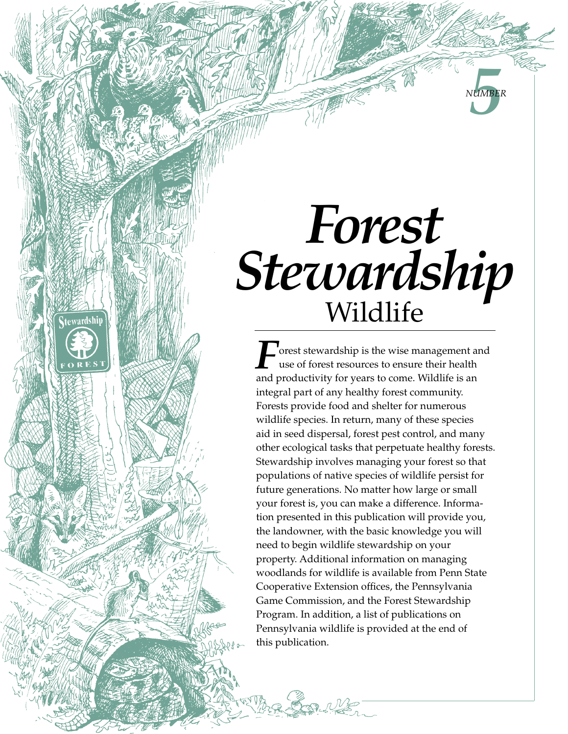# *Forest*  Stewardship

tewardship

**5** *Number*

and productivity for years to come. Wildlife is an integral part of any healthy forest community. Forests provide food and shelter for numerous wildlife species. In return, many of these species aid in seed dispersal, forest pest control, and many other ecological tasks that perpetuate healthy forests. Stewardship involves managing your forest so that populations of native species of wildlife persist for future generations. No matter how large or small your forest is, you can make a difference. Information presented in this publication will provide you, the landowner, with the basic knowledge you will need to begin wildlife stewardship on your property. Additional information on managing woodlands for wildlife is available from Penn State Cooperative Extension offices, the Pennsylvania Game Commission, and the Forest Stewardship Program. In addition, a list of publications on Pennsylvania wildlife is provided at the end of this publication. **Forest stewardship is the wise management and<br>use of forest resources to ensure their health<br>and preductivity for years to earne. Wildlife is an** use of forest resources to ensure their health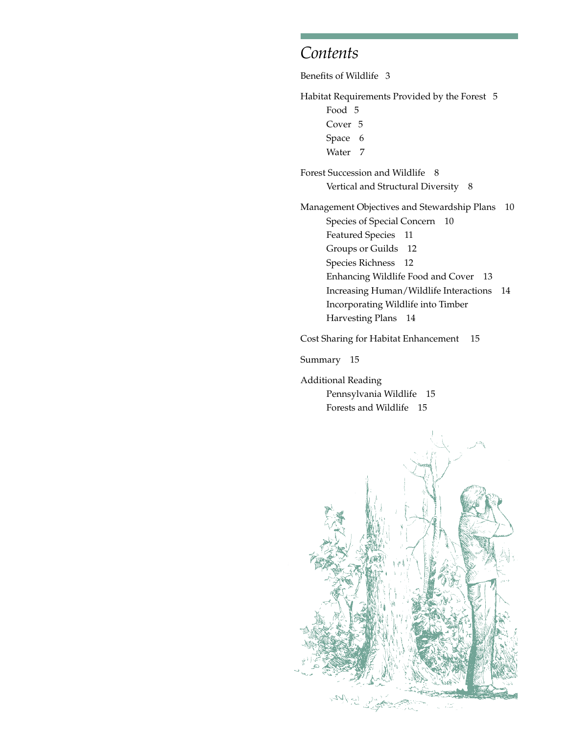## *Contents*

Benefits of Wildlife 3

Habitat Requirements Provided by the Forest 5

- Food 5
- Cover 5
- Space 6
- Water 7

Forest Succession and Wildlife 8 Vertical and Structural Diversity 8

Management Objectives and Stewardship Plans 10 Species of Special Concern 10 Featured Species 11 Groups or Guilds 12 Species Richness 12 Enhancing Wildlife Food and Cover 13 Increasing Human/Wildlife Interactions 14 Incorporating Wildlife into Timber Harvesting Plans 14

Cost Sharing for Habitat Enhancement 15

Summary 15

Additional Reading Pennsylvania Wildlife 15 Forests and Wildlife 15

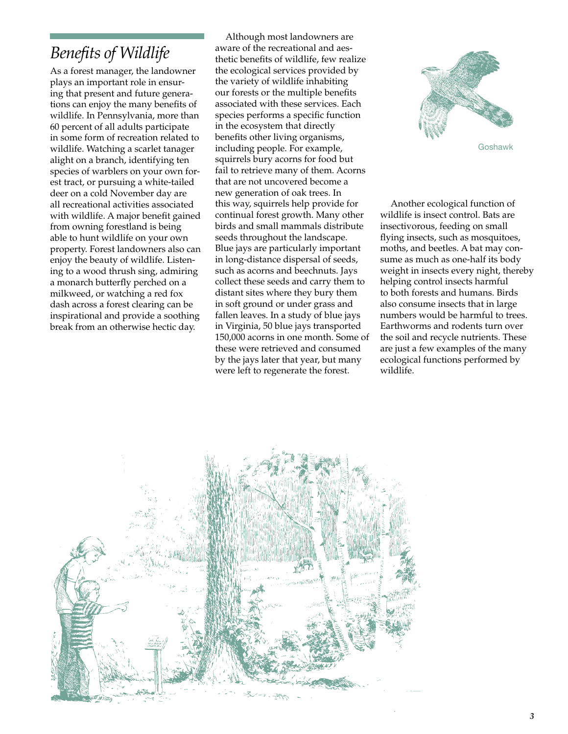## *Benefits of Wildlife*

As a forest manager, the landowner plays an important role in ensuring that present and future generations can enjoy the many benefits of wildlife. In Pennsylvania, more than 60 percent of all adults participate in some form of recreation related to wildlife. Watching a scarlet tanager alight on a branch, identifying ten species of warblers on your own forest tract, or pursuing a white-tailed deer on a cold November day are all recreational activities associated with wildlife. A major benefit gained from owning forestland is being able to hunt wildlife on your own property. Forest landowners also can enjoy the beauty of wildlife. Listening to a wood thrush sing, admiring a monarch butterfly perched on a milkweed, or watching a red fox dash across a forest clearing can be inspirational and provide a soothing break from an otherwise hectic day.

Although most landowners are aware of the recreational and aesthetic benefits of wildlife, few realize the ecological services provided by the variety of wildlife inhabiting our forests or the multiple benefits associated with these services. Each species performs a specific function in the ecosystem that directly benefits other living organisms, including people. For example, squirrels bury acorns for food but fail to retrieve many of them. Acorns that are not uncovered become a new generation of oak trees. In this way, squirrels help provide for continual forest growth. Many other birds and small mammals distribute seeds throughout the landscape. Blue jays are particularly important in long-distance dispersal of seeds, such as acorns and beechnuts. Jays collect these seeds and carry them to distant sites where they bury them in soft ground or under grass and fallen leaves. In a study of blue jays in Virginia, 50 blue jays transported 150,000 acorns in one month. Some of these were retrieved and consumed by the jays later that year, but many were left to regenerate the forest.





Another ecological function of wildlife is insect control. Bats are insectivorous, feeding on small flying insects, such as mosquitoes, moths, and beetles. A bat may consume as much as one-half its body weight in insects every night, thereby helping control insects harmful to both forests and humans. Birds also consume insects that in large numbers would be harmful to trees. Earthworms and rodents turn over the soil and recycle nutrients. These are just a few examples of the many ecological functions performed by wildlife.

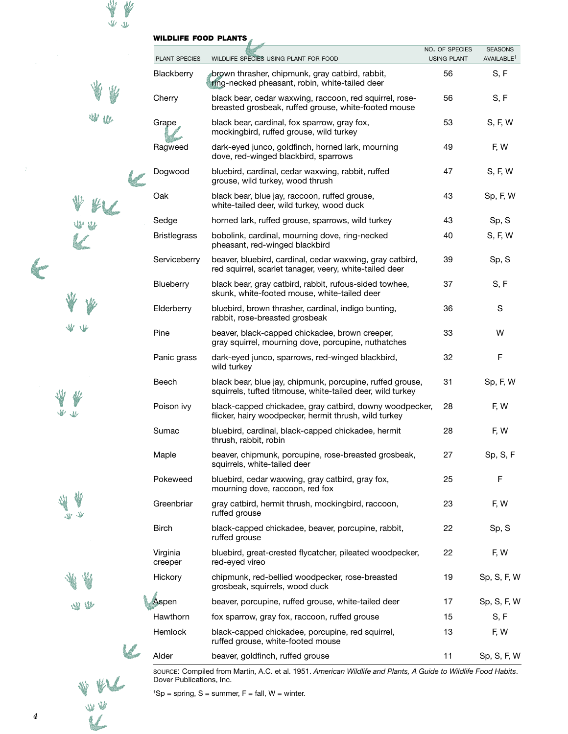| <b>WILDLIFE FOOD PLANTS</b> |  |
|-----------------------------|--|
|                             |  |

₩ W  $\Psi\Psi$ 

 $\Psi\Psi$ 

 $\mathcal{L}$ 

W

₩

 $\underline{\Psi}\Psi$ 

全奏 ●

¥ 17 一个人

> 业 ₩

> > **WV**

 $W$ 

 $\epsilon$ 

L

V

 $\left($ 

W W L

|  | <b>PLANT SPECIES</b> | WILDLIFE SPECIES USING PLANT FOR FOOD                                                                                   | NO. OF SPECIES<br><b>USING PLANT</b> | <b>SEASONS</b><br>AVAILABLE <sup>1</sup> |
|--|----------------------|-------------------------------------------------------------------------------------------------------------------------|--------------------------------------|------------------------------------------|
|  | Blackberry           | brown thrasher, chipmunk, gray catbird, rabbit,<br>ring-necked pheasant, robin, white-tailed deer                       | 56                                   | S, F                                     |
|  | Cherry               | black bear, cedar waxwing, raccoon, red squirrel, rose-<br>breasted grosbeak, ruffed grouse, white-footed mouse         | 56                                   | S, F                                     |
|  | Grape                | black bear, cardinal, fox sparrow, gray fox,<br>mockingbird, ruffed grouse, wild turkey                                 | 53                                   | S, F, W                                  |
|  | Ragweed              | dark-eyed junco, goldfinch, horned lark, mourning<br>dove, red-winged blackbird, sparrows                               | 49                                   | F, W                                     |
|  | Dogwood              | bluebird, cardinal, cedar waxwing, rabbit, ruffed<br>grouse, wild turkey, wood thrush                                   | 47                                   | S, F, W                                  |
|  | Oak                  | black bear, blue jay, raccoon, ruffed grouse,<br>white-tailed deer, wild turkey, wood duck                              | 43                                   | Sp, F, W                                 |
|  | Sedge                | horned lark, ruffed grouse, sparrows, wild turkey                                                                       | 43                                   | Sp, S                                    |
|  | <b>Bristlegrass</b>  | bobolink, cardinal, mourning dove, ring-necked<br>pheasant, red-winged blackbird                                        | 40                                   | S, F, W                                  |
|  | Serviceberry         | beaver, bluebird, cardinal, cedar waxwing, gray catbird,<br>red squirrel, scarlet tanager, veery, white-tailed deer     | 39                                   | Sp, S                                    |
|  | Blueberry            | black bear, gray catbird, rabbit, rufous-sided towhee,<br>skunk, white-footed mouse, white-tailed deer                  | 37                                   | S, F                                     |
|  | Elderberry           | bluebird, brown thrasher, cardinal, indigo bunting,<br>rabbit, rose-breasted grosbeak                                   | 36                                   | S                                        |
|  | Pine                 | beaver, black-capped chickadee, brown creeper,<br>gray squirrel, mourning dove, porcupine, nuthatches                   | 33                                   | W                                        |
|  | Panic grass          | dark-eyed junco, sparrows, red-winged blackbird,<br>wild turkey                                                         | 32                                   | F                                        |
|  | Beech                | black bear, blue jay, chipmunk, porcupine, ruffed grouse,<br>squirrels, tufted titmouse, white-tailed deer, wild turkey | 31                                   | Sp, F, W                                 |
|  | Poison ivy           | black-capped chickadee, gray catbird, downy woodpecker,<br>flicker, hairy woodpecker, hermit thrush, wild turkey        | 28                                   | F, W                                     |
|  | Sumac                | bluebird, cardinal, black-capped chickadee, hermit<br>thrush, rabbit, robin                                             | 28                                   | F, W                                     |
|  | Maple                | beaver, chipmunk, porcupine, rose-breasted grosbeak,<br>squirrels, white-tailed deer                                    | 27                                   | Sp, S, F                                 |
|  | Pokeweed             | bluebird, cedar waxwing, gray catbird, gray fox,<br>mourning dove, raccoon, red fox                                     | 25                                   | F                                        |
|  | Greenbriar           | gray catbird, hermit thrush, mockingbird, raccoon,<br>ruffed grouse                                                     | 23                                   | F, W                                     |
|  | <b>Birch</b>         | black-capped chickadee, beaver, porcupine, rabbit,<br>ruffed grouse                                                     | 22                                   | Sp, S                                    |
|  | Virginia<br>creeper  | bluebird, great-crested flycatcher, pileated woodpecker,<br>red-eyed vireo                                              | 22                                   | F, W                                     |
|  | Hickory              | chipmunk, red-bellied woodpecker, rose-breasted<br>grosbeak, squirrels, wood duck                                       | 19                                   | Sp, S, F, W                              |
|  | Aspen                | beaver, porcupine, ruffed grouse, white-tailed deer                                                                     | 17                                   | Sp, S, F, W                              |
|  | Hawthorn             | fox sparrow, gray fox, raccoon, ruffed grouse                                                                           | 15                                   | S, F                                     |
|  | Hemlock              | black-capped chickadee, porcupine, red squirrel,<br>ruffed grouse, white-footed mouse                                   | 13                                   | F, W                                     |
|  | Alder                | beaver, goldfinch, ruffed grouse                                                                                        | 11                                   | Sp, S, F, W                              |

source: Compiled from Martin, A.C. et al. 1951. *American Wildlife and Plants, A Guide to Wildlife Food Habits*. Dover Publications, Inc.

 ${}^{1}$ Sp = spring, S = summer, F = fall, W = winter.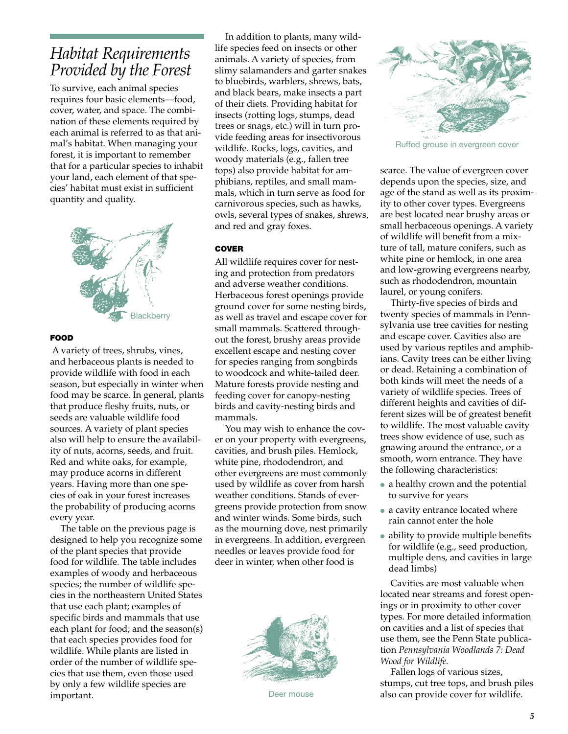## *Habitat Requirements Provided by the Forest*

To survive, each animal species requires four basic elements—food, cover, water, and space. The combination of these elements required by each animal is referred to as that animal's habitat. When managing your forest, it is important to remember that for a particular species to inhabit your land, each element of that species' habitat must exist in sufficient quantity and quality.



#### **FOOD**

 A variety of trees, shrubs, vines, and herbaceous plants is needed to provide wildlife with food in each season, but especially in winter when food may be scarce. In general, plants that produce fleshy fruits, nuts, or seeds are valuable wildlife food sources. A variety of plant species also will help to ensure the availability of nuts, acorns, seeds, and fruit. Red and white oaks, for example, may produce acorns in different years. Having more than one species of oak in your forest increases the probability of producing acorns every year.

The table on the previous page is designed to help you recognize some of the plant species that provide food for wildlife. The table includes examples of woody and herbaceous species; the number of wildlife species in the northeastern United States that use each plant; examples of specific birds and mammals that use each plant for food; and the season(s) that each species provides food for wildlife. While plants are listed in order of the number of wildlife species that use them, even those used by only a few wildlife species are important.

In addition to plants, many wildlife species feed on insects or other animals. A variety of species, from slimy salamanders and garter snakes to bluebirds, warblers, shrews, bats, and black bears, make insects a part of their diets. Providing habitat for insects (rotting logs, stumps, dead trees or snags, etc.) will in turn provide feeding areas for insectivorous wildlife. Rocks, logs, cavities, and woody materials (e.g., fallen tree tops) also provide habitat for amphibians, reptiles, and small mammals, which in turn serve as food for carnivorous species, such as hawks, owls, several types of snakes, shrews, and red and gray foxes.

#### **COVER**

All wildlife requires cover for nesting and protection from predators and adverse weather conditions. Herbaceous forest openings provide ground cover for some nesting birds, as well as travel and escape cover for small mammals. Scattered throughout the forest, brushy areas provide excellent escape and nesting cover for species ranging from songbirds to woodcock and white-tailed deer. Mature forests provide nesting and feeding cover for canopy-nesting birds and cavity-nesting birds and mammals.

You may wish to enhance the cover on your property with evergreens, cavities, and brush piles. Hemlock, white pine, rhododendron, and other evergreens are most commonly used by wildlife as cover from harsh weather conditions. Stands of evergreens provide protection from snow and winter winds. Some birds, such as the mourning dove, nest primarily in evergreens. In addition, evergreen needles or leaves provide food for deer in winter, when other food is



Deer mouse



Ruffed grouse in evergreen cover

scarce. The value of evergreen cover depends upon the species, size, and age of the stand as well as its proximity to other cover types. Evergreens are best located near brushy areas or small herbaceous openings. A variety of wildlife will benefit from a mixture of tall, mature conifers, such as white pine or hemlock, in one area and low-growing evergreens nearby, such as rhododendron, mountain laurel, or young conifers.

Thirty-five species of birds and twenty species of mammals in Pennsylvania use tree cavities for nesting and escape cover. Cavities also are used by various reptiles and amphibians. Cavity trees can be either living or dead. Retaining a combination of both kinds will meet the needs of a variety of wildlife species. Trees of different heights and cavities of different sizes will be of greatest benefit to wildlife. The most valuable cavity trees show evidence of use, such as gnawing around the entrance, or a smooth, worn entrance. They have the following characteristics:

- a healthy crown and the potential to survive for years
- a cavity entrance located where rain cannot enter the hole
- ability to provide multiple benefits for wildlife (e.g., seed production, multiple dens, and cavities in large dead limbs)

Cavities are most valuable when located near streams and forest openings or in proximity to other cover types. For more detailed information on cavities and a list of species that use them, see the Penn State publication *Pennsylvania Woodlands 7: Dead Wood for Wildlife.*

Fallen logs of various sizes, stumps, cut tree tops, and brush piles also can provide cover for wildlife.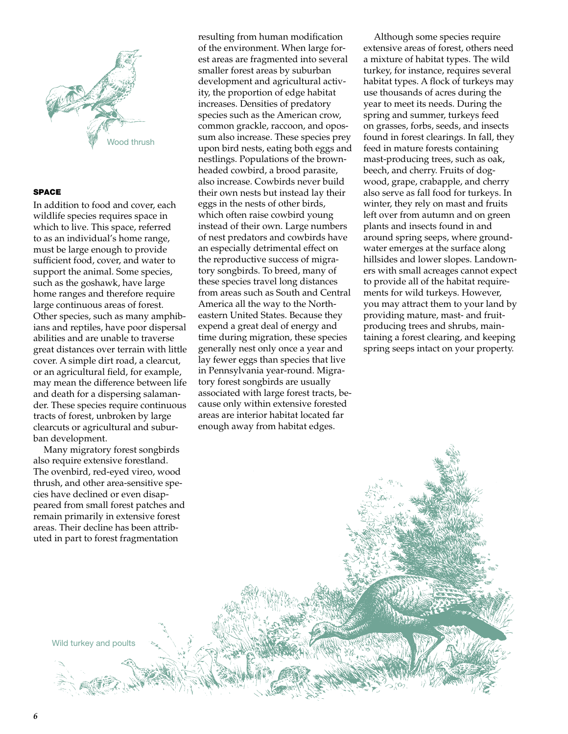

#### space

In addition to food and cover, each wildlife species requires space in which to live. This space, referred to as an individual's home range, must be large enough to provide sufficient food, cover, and water to support the animal. Some species, such as the goshawk, have large home ranges and therefore require large continuous areas of forest. Other species, such as many amphibians and reptiles, have poor dispersal abilities and are unable to traverse great distances over terrain with little cover. A simple dirt road, a clearcut, or an agricultural field, for example, may mean the difference between life and death for a dispersing salamander. These species require continuous tracts of forest, unbroken by large clearcuts or agricultural and suburban development.

Many migratory forest songbirds also require extensive forestland. The ovenbird, red-eyed vireo, wood thrush, and other area-sensitive species have declined or even disappeared from small forest patches and remain primarily in extensive forest areas. Their decline has been attributed in part to forest fragmentation

resulting from human modification of the environment. When large forest areas are fragmented into several smaller forest areas by suburban development and agricultural activity, the proportion of edge habitat increases. Densities of predatory species such as the American crow, common grackle, raccoon, and opossum also increase. These species prey upon bird nests, eating both eggs and nestlings. Populations of the brownheaded cowbird, a brood parasite, also increase. Cowbirds never build their own nests but instead lay their eggs in the nests of other birds, which often raise cowbird young instead of their own. Large numbers of nest predators and cowbirds have an especially detrimental effect on the reproductive success of migratory songbirds. To breed, many of these species travel long distances from areas such as South and Central America all the way to the Northeastern United States. Because they expend a great deal of energy and time during migration, these species generally nest only once a year and lay fewer eggs than species that live in Pennsylvania year-round. Migratory forest songbirds are usually associated with large forest tracts, because only within extensive forested areas are interior habitat located far enough away from habitat edges.

Although some species require extensive areas of forest, others need a mixture of habitat types. The wild turkey, for instance, requires several habitat types. A flock of turkeys may use thousands of acres during the year to meet its needs. During the spring and summer, turkeys feed on grasses, forbs, seeds, and insects found in forest clearings. In fall, they feed in mature forests containing mast-producing trees, such as oak, beech, and cherry. Fruits of dogwood, grape, crabapple, and cherry also serve as fall food for turkeys. In winter, they rely on mast and fruits left over from autumn and on green plants and insects found in and around spring seeps, where groundwater emerges at the surface along hillsides and lower slopes. Landowners with small acreages cannot expect to provide all of the habitat requirements for wild turkeys. However, you may attract them to your land by providing mature, mast- and fruitproducing trees and shrubs, maintaining a forest clearing, and keeping spring seeps intact on your property.

Wild turkey and poults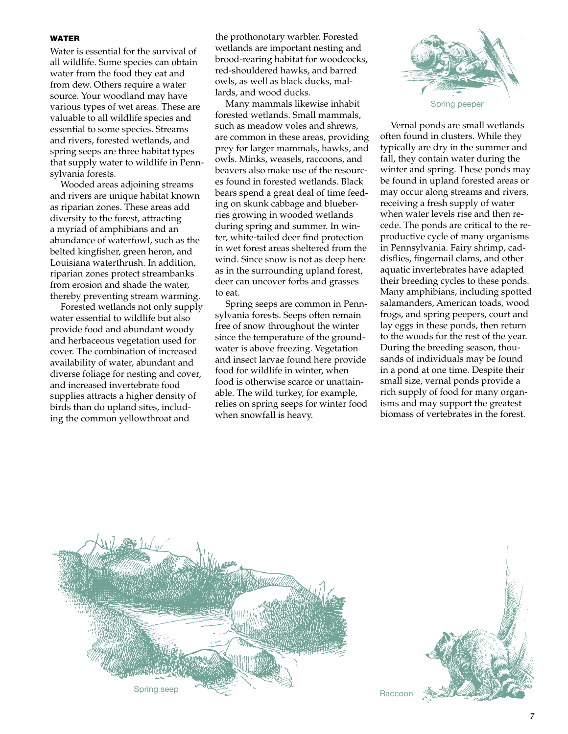#### **WATER**

Water is essential for the survival of all wildlife. Some species can obtain water from the food they eat and from dew. Others require a water source. Your woodland may have various types of wet areas. These are valuable to all wildlife species and essential to some species. Streams and rivers, forested wetlands, and spring seeps are three habitat types that supply water to wildlife in Pennsylvania forests.

Wooded areas adjoining streams and rivers are unique habitat known as riparian zones. These areas add diversity to the forest, attracting a myriad of amphibians and an abundance of waterfowl, such as the belted kingfisher, green heron, and Louisiana waterthrush. In addition, riparian zones protect streambanks from erosion and shade the water, thereby preventing stream warming.

Forested wetlands not only supply water essential to wildlife but also provide food and abundant woody and herbaceous vegetation used for cover. The combination of increased availability of water, abundant and diverse foliage for nesting and cover, and increased invertebrate food supplies attracts a higher density of birds than do upland sites, including the common yellowthroat and

the prothonotary warbler. Forested wetlands are important nesting and brood-rearing habitat for woodcocks, red-shouldered hawks, and barred owls, as well as black ducks, mallards, and wood ducks.

Many mammals likewise inhabit forested wetlands. Small mammals, such as meadow voles and shrews, are common in these areas, providing prey for larger mammals, hawks, and owls. Minks, weasels, raccoons, and beavers also make use of the resources found in forested wetlands. Black bears spend a great deal of time feeding on skunk cabbage and blueberries growing in wooded wetlands during spring and summer. In winter, white-tailed deer find protection in wet forest areas sheltered from the wind. Since snow is not as deep here as in the surrounding upland forest, deer can uncover forbs and grasses to eat.

Spring seeps are common in Pennsylvania forests. Seeps often remain free of snow throughout the winter since the temperature of the groundwater is above freezing. Vegetation and insect larvae found here provide food for wildlife in winter, when food is otherwise scarce or unattainable. The wild turkey, for example, relies on spring seeps for winter food when snowfall is heavy.



Vernal ponds are small wetlands often found in clusters. While they typically are dry in the summer and fall, they contain water during the winter and spring. These ponds may be found in upland forested areas or may occur along streams and rivers, receiving a fresh supply of water when water levels rise and then recede. The ponds are critical to the reproductive cycle of many organisms in Pennsylvania. Fairy shrimp, caddisflies, fingernail clams, and other aquatic invertebrates have adapted their breeding cycles to these ponds. Many amphibians, including spotted salamanders, American toads, wood frogs, and spring peepers, court and lay eggs in these ponds, then return to the woods for the rest of the year. During the breeding season, thousands of individuals may be found in a pond at one time. Despite their small size, vernal ponds provide a rich supply of food for many organisms and may support the greatest biomass of vertebrates in the forest.



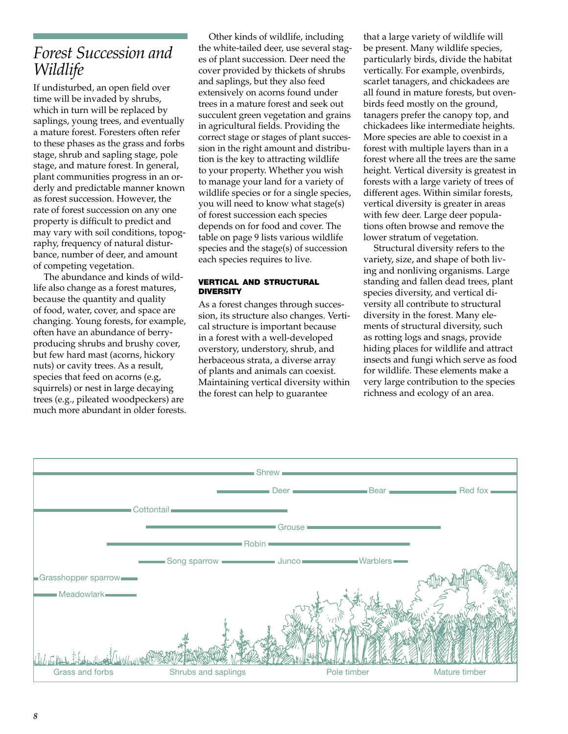## *Forest Succession and Wildlife*

If undisturbed, an open field over time will be invaded by shrubs, which in turn will be replaced by saplings, young trees, and eventually a mature forest. Foresters often refer to these phases as the grass and forbs stage, shrub and sapling stage, pole stage, and mature forest. In general, plant communities progress in an orderly and predictable manner known as forest succession. However, the rate of forest succession on any one property is difficult to predict and may vary with soil conditions, topography, frequency of natural disturbance, number of deer, and amount of competing vegetation.

The abundance and kinds of wildlife also change as a forest matures, because the quantity and quality of food, water, cover, and space are changing. Young forests, for example, often have an abundance of berryproducing shrubs and brushy cover, but few hard mast (acorns, hickory nuts) or cavity trees. As a result, species that feed on acorns (e.g, squirrels) or nest in large decaying trees (e.g., pileated woodpeckers) are much more abundant in older forests.

Other kinds of wildlife, including the white-tailed deer, use several stages of plant succession. Deer need the cover provided by thickets of shrubs and saplings, but they also feed extensively on acorns found under trees in a mature forest and seek out succulent green vegetation and grains in agricultural fields. Providing the correct stage or stages of plant succession in the right amount and distribution is the key to attracting wildlife to your property. Whether you wish to manage your land for a variety of wildlife species or for a single species, you will need to know what stage(s) of forest succession each species depends on for food and cover. The table on page 9 lists various wildlife species and the stage(s) of succession each species requires to live.

#### vertical and structural **DIVERSITY**

As a forest changes through succession, its structure also changes. Vertical structure is important because in a forest with a well-developed overstory, understory, shrub, and herbaceous strata, a diverse array of plants and animals can coexist. Maintaining vertical diversity within the forest can help to guarantee

that a large variety of wildlife will be present. Many wildlife species, particularly birds, divide the habitat vertically. For example, ovenbirds, scarlet tanagers, and chickadees are all found in mature forests, but ovenbirds feed mostly on the ground, tanagers prefer the canopy top, and chickadees like intermediate heights. More species are able to coexist in a forest with multiple layers than in a forest where all the trees are the same height. Vertical diversity is greatest in forests with a large variety of trees of different ages. Within similar forests, vertical diversity is greater in areas with few deer. Large deer populations often browse and remove the lower stratum of vegetation.

Structural diversity refers to the variety, size, and shape of both living and nonliving organisms. Large standing and fallen dead trees, plant species diversity, and vertical diversity all contribute to structural diversity in the forest. Many elements of structural diversity, such as rotting logs and snags, provide hiding places for wildlife and attract insects and fungi which serve as food for wildlife. These elements make a very large contribution to the species richness and ecology of an area.

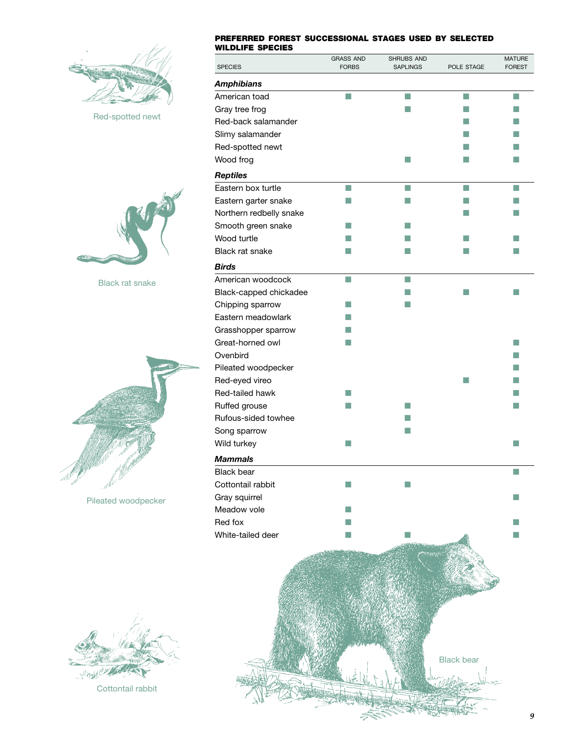

Red-spotted newt



Black rat snake



Pileated woodpecker

#### preferred forest successional stages used by selected wildlife species

| WILDLIFE SPECIES        |                                  |                               |                   |                                |
|-------------------------|----------------------------------|-------------------------------|-------------------|--------------------------------|
| <b>SPECIES</b>          | <b>GRASS AND</b><br><b>FORBS</b> | SHRUBS AND<br><b>SAPLINGS</b> | POLE STAGE        | <b>MATURE</b><br><b>FOREST</b> |
| Amphibians              |                                  |                               |                   |                                |
| American toad           | П                                | T.                            | T.                | m,                             |
| Gray tree frog          |                                  | m.                            |                   |                                |
| Red-back salamander     |                                  |                               |                   |                                |
| Slimy salamander        |                                  |                               |                   |                                |
| Red-spotted newt        |                                  |                               |                   |                                |
| Wood frog               |                                  | m.                            |                   |                                |
| Reptiles                |                                  |                               |                   |                                |
| Eastern box turtle      | T.                               | $\Box$                        | T.                | ш                              |
| Eastern garter snake    | H.                               | m.                            |                   |                                |
| Northern redbelly snake |                                  |                               |                   |                                |
| Smooth green snake      |                                  |                               |                   |                                |
| Wood turtle             |                                  |                               |                   |                                |
| <b>Black rat snake</b>  | ▄                                | a a                           | m.                |                                |
| Birds                   |                                  |                               |                   |                                |
| American woodcock       | m,                               | n.                            |                   |                                |
| Black-capped chickadee  |                                  | ٠                             |                   | m.                             |
| Chipping sparrow        | ٠                                |                               |                   |                                |
| Eastern meadowlark      |                                  |                               |                   |                                |
| Grasshopper sparrow     |                                  |                               |                   |                                |
| Great-horned owl        |                                  |                               |                   | H.                             |
| Ovenbird                |                                  |                               |                   |                                |
| Pileated woodpecker     |                                  |                               |                   | ٠                              |
| Red-eyed vireo          |                                  |                               | a a               |                                |
| Red-tailed hawk         | m                                |                               |                   |                                |
| Ruffed grouse           |                                  | a a                           |                   | r.                             |
| Rufous-sided towhee     |                                  |                               |                   |                                |
| Song sparrow            |                                  | H.                            |                   |                                |
| Wild turkey             |                                  |                               |                   |                                |
| <b>Mammals</b>          |                                  |                               |                   |                                |
| <b>Black bear</b>       |                                  |                               |                   |                                |
| Cottontail rabbit       |                                  |                               |                   |                                |
| Gray squirrel           |                                  |                               |                   |                                |
| Meadow vole             |                                  |                               |                   |                                |
| Red fox                 |                                  |                               |                   |                                |
| White-tailed deer       |                                  |                               |                   |                                |
|                         |                                  |                               |                   |                                |
|                         |                                  |                               |                   |                                |
|                         |                                  |                               |                   |                                |
|                         |                                  |                               |                   |                                |
|                         |                                  |                               |                   |                                |
|                         |                                  |                               |                   |                                |
|                         |                                  |                               |                   |                                |
|                         |                                  |                               |                   |                                |
|                         |                                  |                               |                   |                                |
|                         |                                  |                               | <b>Black bear</b> |                                |
|                         |                                  |                               |                   |                                |
|                         |                                  |                               |                   |                                |
|                         |                                  |                               |                   |                                |

**SEPTER** 



Cottontail rabbit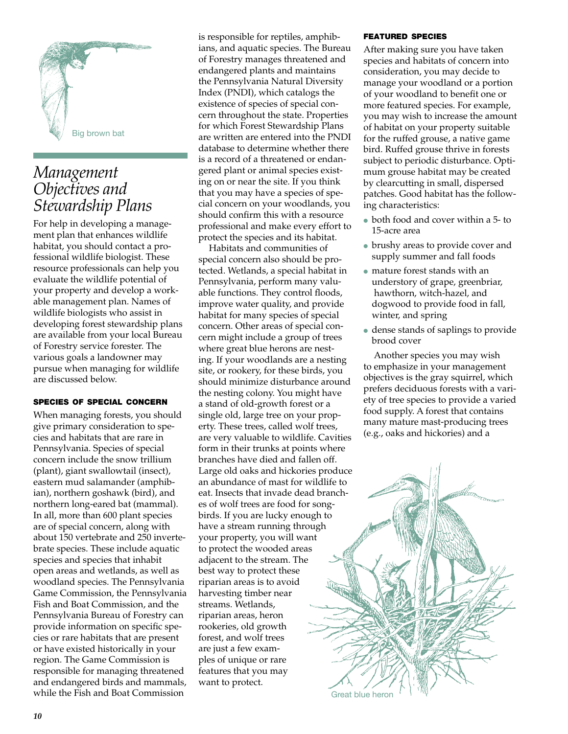

## *Management Objectives and Stewardship Plans*

For help in developing a management plan that enhances wildlife habitat, you should contact a professional wildlife biologist. These resource professionals can help you evaluate the wildlife potential of your property and develop a workable management plan. Names of wildlife biologists who assist in developing forest stewardship plans are available from your local Bureau of Forestry service forester. The various goals a landowner may pursue when managing for wildlife are discussed below.

#### species of special concern

When managing forests, you should give primary consideration to species and habitats that are rare in Pennsylvania. Species of special concern include the snow trillium (plant), giant swallowtail (insect), eastern mud salamander (amphibian), northern goshawk (bird), and northern long-eared bat (mammal). In all, more than 600 plant species are of special concern, along with about 150 vertebrate and 250 invertebrate species. These include aquatic species and species that inhabit open areas and wetlands, as well as woodland species. The Pennsylvania Game Commission, the Pennsylvania Fish and Boat Commission, and the Pennsylvania Bureau of Forestry can provide information on specific species or rare habitats that are present or have existed historically in your region. The Game Commission is responsible for managing threatened and endangered birds and mammals, while the Fish and Boat Commission

is responsible for reptiles, amphibians, and aquatic species. The Bureau of Forestry manages threatened and endangered plants and maintains the Pennsylvania Natural Diversity Index (PNDI), which catalogs the existence of species of special concern throughout the state. Properties for which Forest Stewardship Plans are written are entered into the PNDI database to determine whether there is a record of a threatened or endangered plant or animal species existing on or near the site. If you think that you may have a species of special concern on your woodlands, you should confirm this with a resource professional and make every effort to protect the species and its habitat.

Habitats and communities of special concern also should be protected. Wetlands, a special habitat in Pennsylvania, perform many valuable functions. They control floods, improve water quality, and provide habitat for many species of special concern. Other areas of special concern might include a group of trees where great blue herons are nesting. If your woodlands are a nesting site, or rookery, for these birds, you should minimize disturbance around the nesting colony. You might have a stand of old-growth forest or a single old, large tree on your property. These trees, called wolf trees, are very valuable to wildlife. Cavities form in their trunks at points where branches have died and fallen off. Large old oaks and hickories produce an abundance of mast for wildlife to eat. Insects that invade dead branches of wolf trees are food for songbirds. If you are lucky enough to have a stream running through your property, you will want to protect the wooded areas adjacent to the stream. The best way to protect these riparian areas is to avoid harvesting timber near streams. Wetlands, riparian areas, heron rookeries, old growth forest, and wolf trees are just a few examples of unique or rare features that you may want to protect.

#### featured species

After making sure you have taken species and habitats of concern into consideration, you may decide to manage your woodland or a portion of your woodland to benefit one or more featured species. For example, you may wish to increase the amount of habitat on your property suitable for the ruffed grouse, a native game bird. Ruffed grouse thrive in forests subject to periodic disturbance. Optimum grouse habitat may be created by clearcutting in small, dispersed patches. Good habitat has the following characteristics:

- both food and cover within a 5- to 15-acre area
- brushy areas to provide cover and supply summer and fall foods
- mature forest stands with an understory of grape, greenbriar, hawthorn, witch-hazel, and dogwood to provide food in fall, winter, and spring
- ● dense stands of saplings to provide brood cover

Another species you may wish to emphasize in your management objectives is the gray squirrel, which prefers deciduous forests with a variety of tree species to provide a varied food supply. A forest that contains many mature mast-producing trees (e.g., oaks and hickories) and a

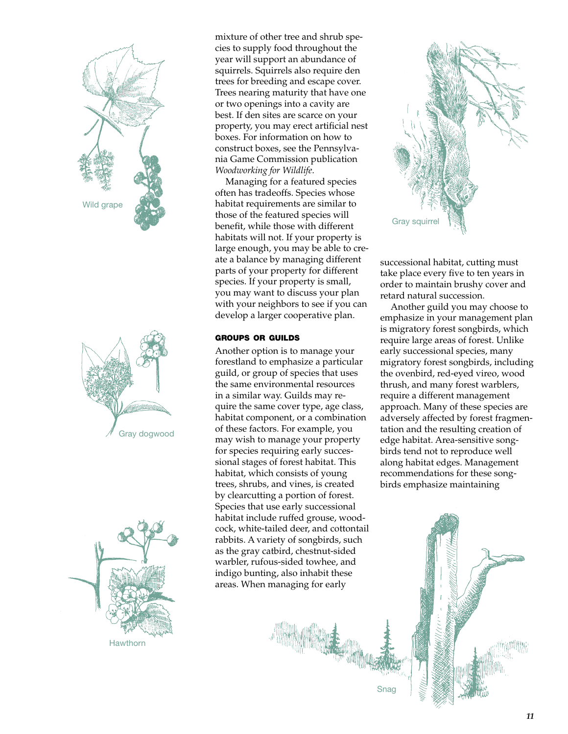





mixture of other tree and shrub species to supply food throughout the year will support an abundance of squirrels. Squirrels also require den trees for breeding and escape cover. Trees nearing maturity that have one or two openings into a cavity are best. If den sites are scarce on your property, you may erect artificial nest boxes. For information on how to construct boxes, see the Pennsylvania Game Commission publication *Woodworking for Wildlife*.

Managing for a featured species often has tradeoffs. Species whose habitat requirements are similar to those of the featured species will benefit, while those with different habitats will not. If your property is large enough, you may be able to create a balance by managing different parts of your property for different species. If your property is small, you may want to discuss your plan with your neighbors to see if you can develop a larger cooperative plan.

#### groups or guilds

Another option is to manage your forestland to emphasize a particular guild, or group of species that uses the same environmental resources in a similar way. Guilds may require the same cover type, age class, habitat component, or a combination of these factors. For example, you may wish to manage your property for species requiring early successional stages of forest habitat. This habitat, which consists of young trees, shrubs, and vines, is created by clearcutting a portion of forest. Species that use early successional habitat include ruffed grouse, woodcock, white-tailed deer, and cottontail rabbits. A variety of songbirds, such as the gray catbird, chestnut-sided warbler, rufous-sided towhee, and indigo bunting, also inhabit these areas. When managing for early



successional habitat, cutting must take place every five to ten years in order to maintain brushy cover and retard natural succession.

Another guild you may choose to emphasize in your management plan is migratory forest songbirds, which require large areas of forest. Unlike early successional species, many migratory forest songbirds, including the ovenbird, red-eyed vireo, wood thrush, and many forest warblers, require a different management approach. Many of these species are adversely affected by forest fragmentation and the resulting creation of edge habitat. Area-sensitive songbirds tend not to reproduce well along habitat edges. Management recommendations for these songbirds emphasize maintaining



Snag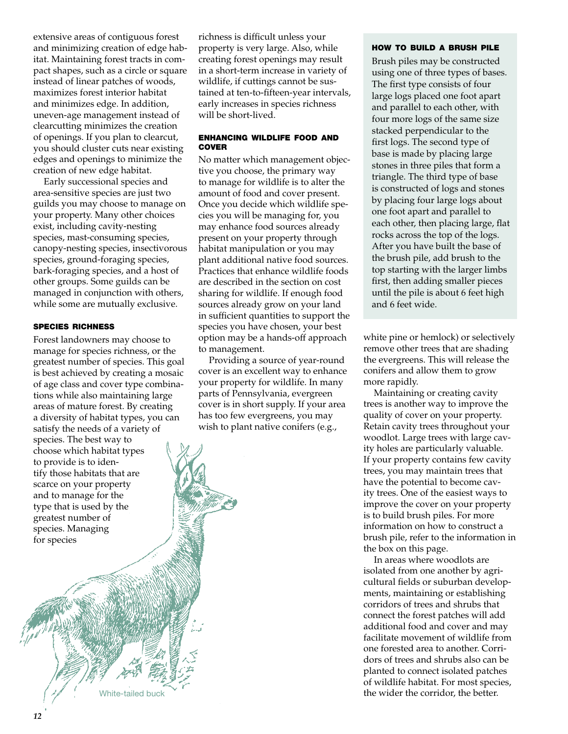extensive areas of contiguous forest and minimizing creation of edge habitat. Maintaining forest tracts in compact shapes, such as a circle or square instead of linear patches of woods, maximizes forest interior habitat and minimizes edge. In addition, uneven-age management instead of clearcutting minimizes the creation of openings. If you plan to clearcut, you should cluster cuts near existing edges and openings to minimize the creation of new edge habitat.

Early successional species and area-sensitive species are just two guilds you may choose to manage on your property. Many other choices exist, including cavity-nesting species, mast-consuming species, canopy-nesting species, insectivorous species, ground-foraging species, bark-foraging species, and a host of other groups. Some guilds can be managed in conjunction with others, while some are mutually exclusive.

#### species richness

Forest landowners may choose to manage for species richness, or the greatest number of species. This goal is best achieved by creating a mosaic of age class and cover type combinations while also maintaining large areas of mature forest. By creating a diversity of habitat types, you can satisfy the needs of a variety of species. The best way to choose which habitat types to provide is to identify those habitats that are scarce on your property and to manage for the type that is used by the greatest number of species. Managing for species

richness is difficult unless your property is very large. Also, while creating forest openings may result in a short-term increase in variety of wildlife, if cuttings cannot be sustained at ten-to-fifteen-year intervals, early increases in species richness will be short-lived.

#### enhancing wildlife food and **COVER**

No matter which management objective you choose, the primary way to manage for wildlife is to alter the amount of food and cover present. Once you decide which wildlife species you will be managing for, you may enhance food sources already present on your property through habitat manipulation or you may plant additional native food sources. Practices that enhance wildlife foods are described in the section on cost sharing for wildlife. If enough food sources already grow on your land in sufficient quantities to support the species you have chosen, your best option may be a hands-off approach to management.

Providing a source of year-round cover is an excellent way to enhance your property for wildlife. In many parts of Pennsylvania, evergreen cover is in short supply. If your area has too few evergreens, you may wish to plant native conifers (e.g.,

#### how to build a brush pile

Brush piles may be constructed using one of three types of bases. The first type consists of four large logs placed one foot apart and parallel to each other, with four more logs of the same size stacked perpendicular to the first logs. The second type of base is made by placing large stones in three piles that form a triangle. The third type of base is constructed of logs and stones by placing four large logs about one foot apart and parallel to each other, then placing large, flat rocks across the top of the logs. After you have built the base of the brush pile, add brush to the top starting with the larger limbs first, then adding smaller pieces until the pile is about 6 feet high and 6 feet wide.

white pine or hemlock) or selectively remove other trees that are shading the evergreens. This will release the conifers and allow them to grow more rapidly.

Maintaining or creating cavity trees is another way to improve the quality of cover on your property. Retain cavity trees throughout your woodlot. Large trees with large cavity holes are particularly valuable. If your property contains few cavity trees, you may maintain trees that have the potential to become cavity trees. One of the easiest ways to improve the cover on your property is to build brush piles. For more information on how to construct a brush pile, refer to the information in the box on this page.

In areas where woodlots are isolated from one another by agricultural fields or suburban developments, maintaining or establishing corridors of trees and shrubs that connect the forest patches will add additional food and cover and may facilitate movement of wildlife from one forested area to another. Corridors of trees and shrubs also can be planted to connect isolated patches of wildlife habitat. For most species, White-tailed buck the wider the corridor, the better.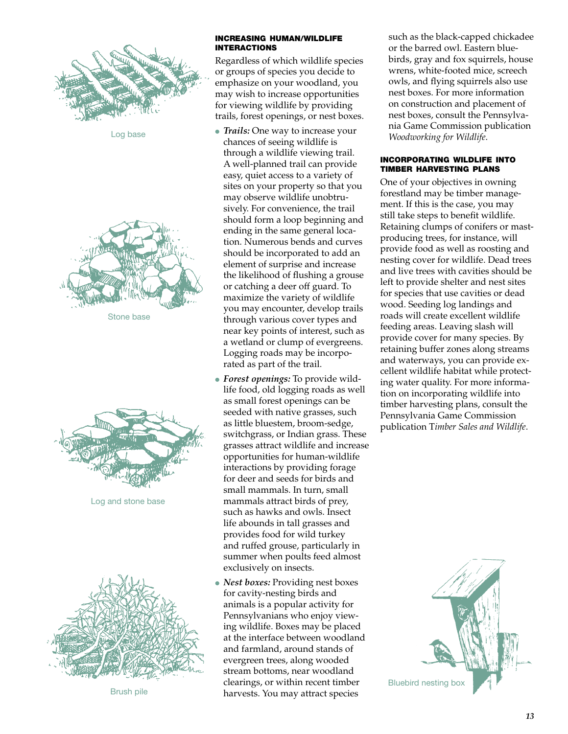

Log base





Log and stone base



Brush pile

#### increasing human/wildlife interactions

Regardless of which wildlife species or groups of species you decide to emphasize on your woodland, you may wish to increase opportunities for viewing wildlife by providing trails, forest openings, or nest boxes.

- *Trails:* One way to increase your chances of seeing wildlife is through a wildlife viewing trail. A well-planned trail can provide easy, quiet access to a variety of sites on your property so that you may observe wildlife unobtrusively. For convenience, the trail should form a loop beginning and ending in the same general location. Numerous bends and curves should be incorporated to add an element of surprise and increase the likelihood of flushing a grouse or catching a deer off guard. To maximize the variety of wildlife you may encounter, develop trails through various cover types and near key points of interest, such as a wetland or clump of evergreens. Logging roads may be incorporated as part of the trail.
- *Forest openings:* To provide wildlife food, old logging roads as well as small forest openings can be seeded with native grasses, such as little bluestem, broom-sedge, switchgrass, or Indian grass. These grasses attract wildlife and increase opportunities for human-wildlife interactions by providing forage for deer and seeds for birds and small mammals. In turn, small mammals attract birds of prey, such as hawks and owls. Insect life abounds in tall grasses and provides food for wild turkey and ruffed grouse, particularly in summer when poults feed almost exclusively on insects.
- *Nest boxes:* Providing nest boxes for cavity-nesting birds and animals is a popular activity for Pennsylvanians who enjoy viewing wildlife. Boxes may be placed at the interface between woodland and farmland, around stands of evergreen trees, along wooded stream bottoms, near woodland clearings, or within recent timber harvests. You may attract species

such as the black-capped chickadee or the barred owl. Eastern bluebirds, gray and fox squirrels, house wrens, white-footed mice, screech owls, and flying squirrels also use nest boxes. For more information on construction and placement of nest boxes, consult the Pennsylvania Game Commission publication *Woodworking for Wildlife*.

#### incorporating wildlife into timber harvesting plans

One of your objectives in owning forestland may be timber management. If this is the case, you may still take steps to benefit wildlife. Retaining clumps of conifers or mastproducing trees, for instance, will provide food as well as roosting and nesting cover for wildlife. Dead trees and live trees with cavities should be left to provide shelter and nest sites for species that use cavities or dead wood. Seeding log landings and roads will create excellent wildlife feeding areas. Leaving slash will provide cover for many species. By retaining buffer zones along streams and waterways, you can provide excellent wildlife habitat while protecting water quality. For more information on incorporating wildlife into timber harvesting plans, consult the Pennsylvania Game Commission publication T*imber Sales and Wildlife*.

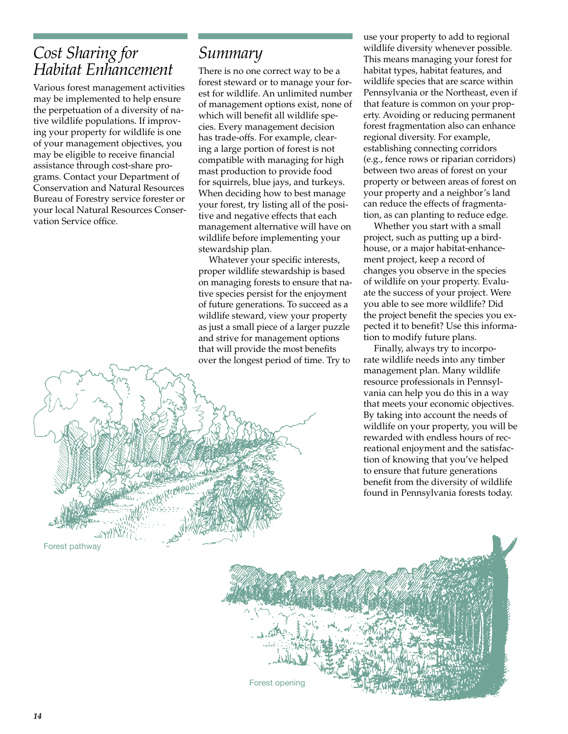## *Cost Sharing for Habitat Enhancement*

Various forest management activities may be implemented to help ensure the perpetuation of a diversity of native wildlife populations. If improving your property for wildlife is one of your management objectives, you may be eligible to receive financial assistance through cost-share programs. Contact your Department of Conservation and Natural Resources Bureau of Forestry service forester or your local Natural Resources Conservation Service office.

### *Summary*

There is no one correct way to be a forest steward or to manage your forest for wildlife. An unlimited number of management options exist, none of which will benefit all wildlife species. Every management decision has trade-offs. For example, clearing a large portion of forest is not compatible with managing for high mast production to provide food for squirrels, blue jays, and turkeys. When deciding how to best manage your forest, try listing all of the positive and negative effects that each management alternative will have on wildlife before implementing your stewardship plan.

Whatever your specific interests, proper wildlife stewardship is based on managing forests to ensure that native species persist for the enjoyment of future generations. To succeed as a wildlife steward, view your property as just a small piece of a larger puzzle and strive for management options that will provide the most benefits over the longest period of time. Try to

Forest opening

use your property to add to regional wildlife diversity whenever possible. This means managing your forest for habitat types, habitat features, and wildlife species that are scarce within Pennsylvania or the Northeast, even if that feature is common on your property. Avoiding or reducing permanent forest fragmentation also can enhance regional diversity. For example, establishing connecting corridors (e.g., fence rows or riparian corridors) between two areas of forest on your property or between areas of forest on your property and a neighbor's land can reduce the effects of fragmentation, as can planting to reduce edge.

Whether you start with a small project, such as putting up a birdhouse, or a major habitat-enhancement project, keep a record of changes you observe in the species of wildlife on your property. Evaluate the success of your project. Were you able to see more wildlife? Did the project benefit the species you expected it to benefit? Use this information to modify future plans.

Finally, always try to incorporate wildlife needs into any timber management plan. Many wildlife resource professionals in Pennsylvania can help you do this in a way that meets your economic objectives. By taking into account the needs of wildlife on your property, you will be rewarded with endless hours of recreational enjoyment and the satisfaction of knowing that you've helped to ensure that future generations benefit from the diversity of wildlife found in Pennsylvania forests today.

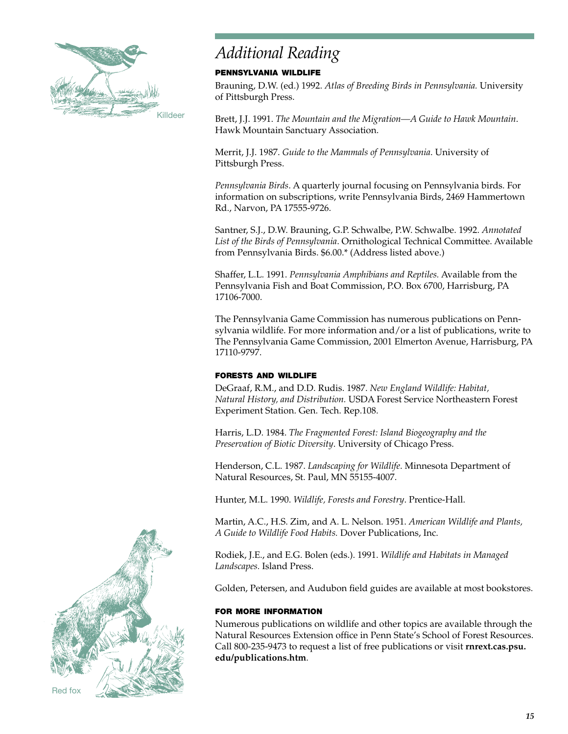

## *Additional Reading*

#### pennsylvania wildlife

Brauning, D.W. (ed.) 1992. *Atlas of Breeding Birds in Pennsylvania.* University of Pittsburgh Press.

Brett, J.J. 1991. *The Mountain and the Migration—A Guide to Hawk Mountain*. Hawk Mountain Sanctuary Association.

Merrit, J.J. 1987. *Guide to the Mammals of Pennsylvania*. University of Pittsburgh Press.

*Pennsylvania Birds*. A quarterly journal focusing on Pennsylvania birds. For information on subscriptions, write Pennsylvania Birds, 2469 Hammertown Rd., Narvon, PA 17555-9726.

Santner, S.J., D.W. Brauning, G.P. Schwalbe, P.W. Schwalbe. 1992. *Annotated List of the Birds of Pennsylvania*. Ornithological Technical Committee. Available from Pennsylvania Birds. \$6.00.\* (Address listed above.)

Shaffer, L.L. 1991. *Pennsylvania Amphibians and Reptiles.* Available from the Pennsylvania Fish and Boat Commission, P.O. Box 6700, Harrisburg, PA 17106-7000.

The Pennsylvania Game Commission has numerous publications on Pennsylvania wildlife. For more information and/or a list of publications, write to The Pennsylvania Game Commission, 2001 Elmerton Avenue, Harrisburg, PA 17110-9797.

#### forests and wildlife

DeGraaf, R.M., and D.D. Rudis. 1987. *New England Wildlife: Habitat, Natural History, and Distribution.* USDA Forest Service Northeastern Forest Experiment Station. Gen. Tech. Rep.108.

Harris, L.D. 1984. *The Fragmented Forest: Island Biogeography and the Preservation of Biotic Diversity*. University of Chicago Press.

Henderson, C.L. 1987. *Landscaping for Wildlife*. Minnesota Department of Natural Resources, St. Paul, MN 55155-4007.

Hunter, M.L. 1990. *Wildlife, Forests and Forestry*. Prentice-Hall.

Martin, A.C., H.S. Zim, and A. L. Nelson. 1951. *American Wildlife and Plants, A Guide to Wildlife Food Habits.* Dover Publications, Inc.

Rodiek, J.E., and E.G. Bolen (eds.). 1991. *Wildlife and Habitats in Managed Landscapes.* Island Press.

Golden, Petersen, and Audubon field guides are available at most bookstores.

#### for more information

Numerous publications on wildlife and other topics are available through the Natural Resources Extension office in Penn State's School of Forest Resources. Call 800-235-9473 to request a list of free publications or visit **rnrext.cas.psu. edu/publications.htm**.